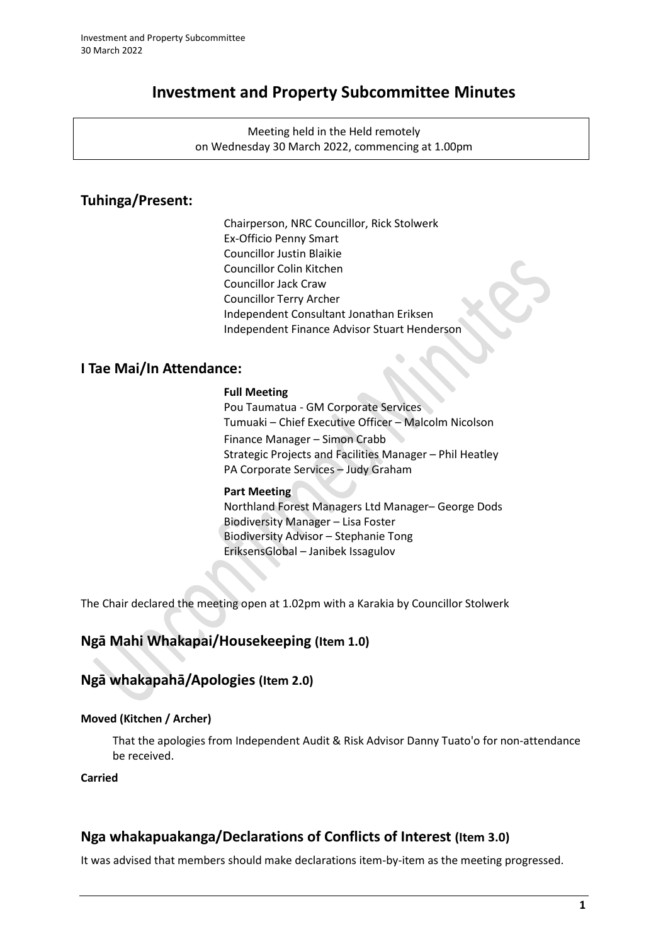# **Investment and Property Subcommittee Minutes**

Meeting held in the Held remotely on Wednesday 30 March 2022, commencing at 1.00pm

# **Tuhinga/Present:**

Chairperson, NRC Councillor, Rick Stolwerk Ex-Officio Penny Smart Councillor Justin Blaikie Councillor Colin Kitchen Councillor Jack Craw Councillor Terry Archer Independent Consultant Jonathan Eriksen Independent Finance Advisor Stuart Henderson

### **I Tae Mai/In Attendance:**

#### **Full Meeting**

Pou Taumatua - GM Corporate Services Tumuaki – Chief Executive Officer – Malcolm Nicolson Finance Manager – Simon Crabb Strategic Projects and Facilities Manager – Phil Heatley PA Corporate Services – Judy Graham

### **Part Meeting**

Northland Forest Managers Ltd Manager– George Dods Biodiversity Manager – Lisa Foster Biodiversity Advisor – Stephanie Tong EriksensGlobal – Janibek Issagulov

The Chair declared the meeting open at 1.02pm with a Karakia by Councillor Stolwerk

## **Ngā Mahi Whakapai/Housekeeping (Item 1.0)**

## **Ngā whakapahā/Apologies (Item 2.0)**

### **Moved (Kitchen / Archer)**

That the apologies from Independent Audit & Risk Advisor Danny Tuato'o for non-attendance be received.

### **Carried**

## **Nga whakapuakanga/Declarations of Conflicts of Interest (Item 3.0)**

It was advised that members should make declarations item-by-item as the meeting progressed.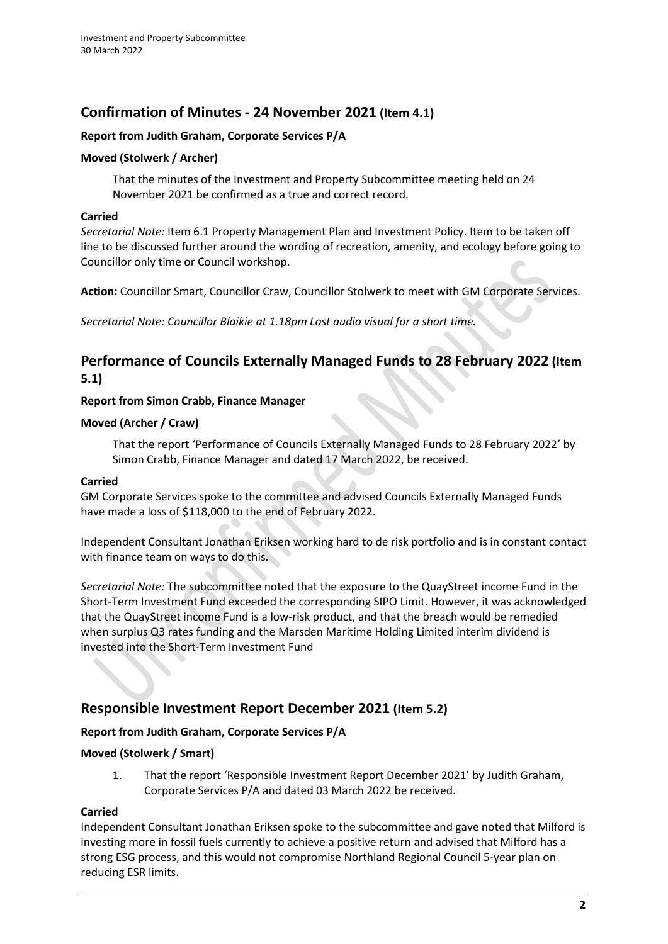# **Confirmation of Minutes - 24 November 2021 (Item 4.1)**

#### **Report from Judith Graham, Corporate Services P/A**

#### **Moved (Stolwerk / Archer)**

That the minutes of the Investment and Property Subcommittee meeting held on 24 November 2021 be confirmed as a true and correct record.

#### **Carried**

*Secretarial Note:* Item 6.1 Property Management Plan and Investment Policy. Item to be taken off line to be discussed further around the wording of recreation, amenity, and ecology before going to Councillor only time or Council workshop.

**Action:** Councillor Smart, Councillor Craw, Councillor Stolwerk to meet with GM Corporate Services.

*Secretarial Note: Councillor Blaikie at 1.18pm Lost audio visual for a short time.*

# **Performance of Councils Externally Managed Funds to 28 February 2022 (Item 5.1)**

#### **Report from Simon Crabb, Finance Manager**

#### **Moved (Archer / Craw)**

That the report 'Performance of Councils Externally Managed Funds to 28 February 2022' by Simon Crabb, Finance Manager and dated 17 March 2022, be received.

#### **Carried**

GM Corporate Services spoke to the committee and advised Councils Externally Managed Funds have made a loss of \$118,000 to the end of February 2022.

Independent Consultant Jonathan Eriksen working hard to de risk portfolio and is in constant contact with finance team on ways to do this.

*Secretarial Note:* The subcommittee noted that the exposure to the QuayStreet income Fund in the Short-Term Investment Fund exceeded the corresponding SIPO Limit. However, it was acknowledged that the QuayStreet income Fund is a low-risk product, and that the breach would be remedied when surplus Q3 rates funding and the Marsden Maritime Holding Limited interim dividend is invested into the Short-Term Investment Fund

## **Responsible Investment Report December 2021 (Item 5.2)**

### **Report from Judith Graham, Corporate Services P/A**

#### **Moved (Stolwerk / Smart)**

1. That the report 'Responsible Investment Report December 2021' by Judith Graham, Corporate Services P/A and dated 03 March 2022 be received.

#### **Carried**

Independent Consultant Jonathan Eriksen spoke to the subcommittee and gave noted that Milford is investing more in fossil fuels currently to achieve a positive return and advised that Milford has a strong ESG process, and this would not compromise Northland Regional Council 5-year plan on reducing ESR limits.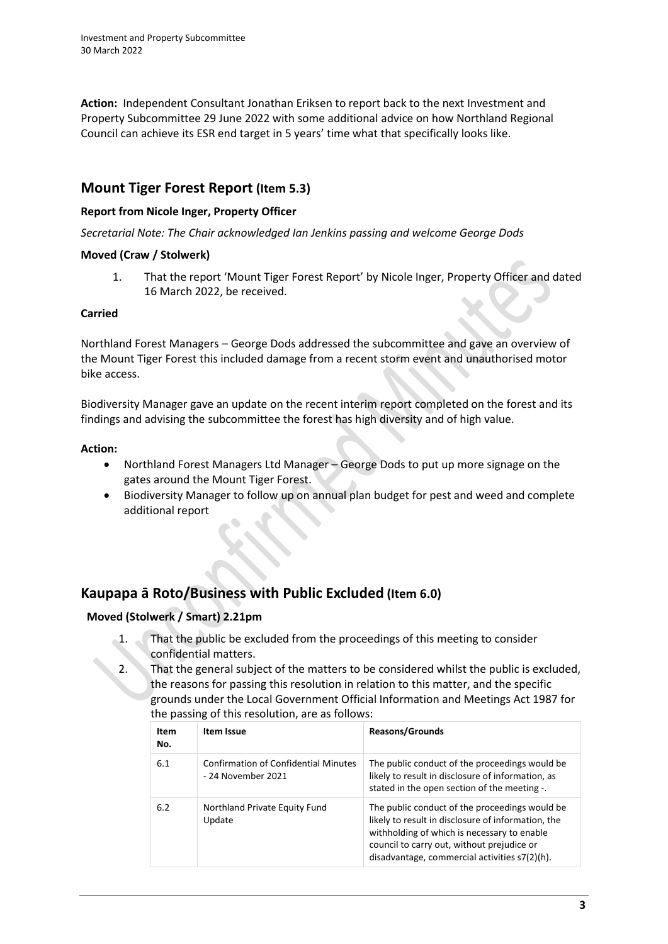**Action:** Independent Consultant Jonathan Eriksen to report back to the next Investment and Property Subcommittee 29 June 2022 with some additional advice on how Northland Regional Council can achieve its ESR end target in 5 years' time what that specifically looks like.

# **Mount Tiger Forest Report (Item 5.3)**

### **Report from Nicole Inger, Property Officer**

*Secretarial Note: The Chair acknowledged Ian Jenkins passing and welcome George Dods* 

#### **Moved (Craw / Stolwerk)**

1. That the report 'Mount Tiger Forest Report' by Nicole Inger, Property Officer and dated 16 March 2022, be received.

#### **Carried**

Northland Forest Managers – George Dods addressed the subcommittee and gave an overview of the Mount Tiger Forest this included damage from a recent storm event and unauthorised motor bike access.

Biodiversity Manager gave an update on the recent interim report completed on the forest and its findings and advising the subcommittee the forest has high diversity and of high value.

#### **Action:**

- Northland Forest Managers Ltd Manager George Dods to put up more signage on the gates around the Mount Tiger Forest.
- Biodiversity Manager to follow up on annual plan budget for pest and weed and complete additional report

## **Kaupapa ā Roto/Business with Public Excluded (Item 6.0)**

### **Moved (Stolwerk / Smart) 2.21pm**

- 1. That the public be excluded from the proceedings of this meeting to consider confidential matters.
- 2. That the general subject of the matters to be considered whilst the public is excluded, the reasons for passing this resolution in relation to this matter, and the specific grounds under the Local Government Official Information and Meetings Act 1987 for the passing of this resolution, are as follows:

| Item<br>No. | Item Issue                                                        | <b>Reasons/Grounds</b>                                                                                                                                                                                                                             |
|-------------|-------------------------------------------------------------------|----------------------------------------------------------------------------------------------------------------------------------------------------------------------------------------------------------------------------------------------------|
| 6.1         | <b>Confirmation of Confidential Minutes</b><br>- 24 November 2021 | The public conduct of the proceedings would be<br>likely to result in disclosure of information, as<br>stated in the open section of the meeting -.                                                                                                |
| 6.2         | Northland Private Equity Fund<br>Update                           | The public conduct of the proceedings would be<br>likely to result in disclosure of information, the<br>withholding of which is necessary to enable<br>council to carry out, without prejudice or<br>disadvantage, commercial activities s7(2)(h). |